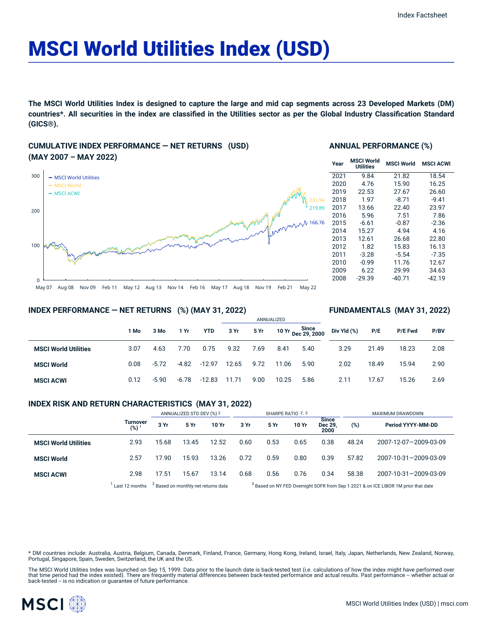# MSCI World Utilities Index (USD)

The MSCI World Utilities Index is designed to capture the large and mid cap segments across 23 Developed Markets (DM) countries\*. All securities in the index are classified in the Utilities sector as per the Global Industry Classification Standard **(GICS®).**

## **CUMULATIVE INDEX PERFORMANCE — NET RETURNS (USD) (MAY 2007 – MAY 2022)**



#### **ANNUAL PERFORMANCE (%)**

| Year | <b>MSCI World</b><br><b>Utilities</b> | <b>MSCI World</b> | <b>MSCI ACWI</b> |
|------|---------------------------------------|-------------------|------------------|
| 2021 | 9.84                                  | 21.82             | 18.54            |
| 2020 | 4.76                                  | 15.90             | 16.25            |
| 2019 | 22.53                                 | 27.67             | 26.60            |
| 2018 | 1.97                                  | $-8.71$           | $-9.41$          |
| 2017 | 13.66                                 | 22.40             | 23.97            |
| 2016 | 5.96                                  | 7.51              | 7.86             |
| 2015 | $-6.61$                               | $-0.87$           | $-2.36$          |
| 2014 | 15.27                                 | 4.94              | 4.16             |
| 2013 | 12.61                                 | 26.68             | 22.80            |
| 2012 | 1.82                                  | 15.83             | 16.13            |
| 2011 | $-3.28$                               | $-5.54$           | $-7.35$          |
| 2010 | $-0.99$                               | 11.76             | 12.67            |
| 2009 | 6.22                                  | 29.99             | 34.63            |
| 2008 | $-29.39$                              | $-40.71$          | -42.19           |
|      |                                       |                   |                  |

**FUNDAMENTALS (MAY 31, 2022)**

#### **INDEX PERFORMANCE — NET RETURNS (%) (MAY 31, 2022)**

#### ANNUALIZED **1 Mo 3 Mo 1 Yr YTD 3 Yr 5 Yr 10 Yr Since Dec 29, 2000 MSCI World Utilities** 3.07 4.63 7.70 0.75 9.32 7.69 8.41 5.40 **MSCI World** 0.08 -5.72 -4.82 -12.97 12.65 9.72 11.06 5.90 **MSCI ACWI** 0.12 -5.90 -6.78 -12.83 11.71 9.00 10.25 5.86 **Div Yld (%) P/E P/E Fwd P/BV** 3.29 21.49 18.23 2.08 2.02 18.49 15.94 2.90 2.11 17.67 15.26 2.69

#### **INDEX RISK AND RETURN CHARACTERISTICS (MAY 31, 2022)**

|                             |                     | ANNUALIZED STD DEV (%) 2                       |       | SHARPE RATIO 2,3 |                                                                                               |      |       | MAXIMUM DRAWDOWN                |       |                       |
|-----------------------------|---------------------|------------------------------------------------|-------|------------------|-----------------------------------------------------------------------------------------------|------|-------|---------------------------------|-------|-----------------------|
|                             | Turnover<br>$(%)^1$ | 3 Yr                                           | 5 Yr  | 10 Yr            | 3 Yr                                                                                          | 5 Yr | 10 Yr | <b>Since</b><br>Dec 29.<br>2000 | (%)   | Period YYYY-MM-DD     |
| <b>MSCI World Utilities</b> | 2.93                | 15.68                                          | 13.45 | 12.52            | 0.60                                                                                          | 0.53 | 0.65  | 0.38                            | 48.24 | 2007-12-07-2009-03-09 |
| <b>MSCI World</b>           | 2.57                | 17.90                                          | 15.93 | 13.26            | 0.72                                                                                          | 0.59 | 0.80  | 0.39                            | 57.82 | 2007-10-31-2009-03-09 |
| <b>MSCI ACWI</b>            | 2.98                | 17.51                                          | 15.67 | 13.14            | 0.68                                                                                          | 0.56 | 0.76  | 0.34                            | 58.38 | 2007-10-31-2009-03-09 |
|                             | Last 12 months      | <sup>2</sup> Based on monthly net returns data |       |                  | <sup>3</sup> Based on NY FED Overnight SOFR from Sep 1 2021 & on ICE LIBOR 1M prior that date |      |       |                                 |       |                       |

ased on NY FED Overnight SOFR from Sep 1 2021 & on ICE LIBOR 1M prior that date

\* DM countries include: Australia, Austria, Belgium, Canada, Denmark, Finland, France, Germany, Hong Kong, Ireland, Israel, Italy, Japan, Netherlands, New Zealand, Norway,<br>Portugal, Singapore, Spain, Sweden, Switzerland, t

The MSCI World Utilities Index was launched on Sep 15, 1999. Data prior to the launch date is back-tested test (i.e. calculations of how the index might have performed over that time period had the index existed). There are frequently material differences between back-tested performance and actual results. Past performance -- whether actual or<br>back-tested -- is no indication or guarantee of f

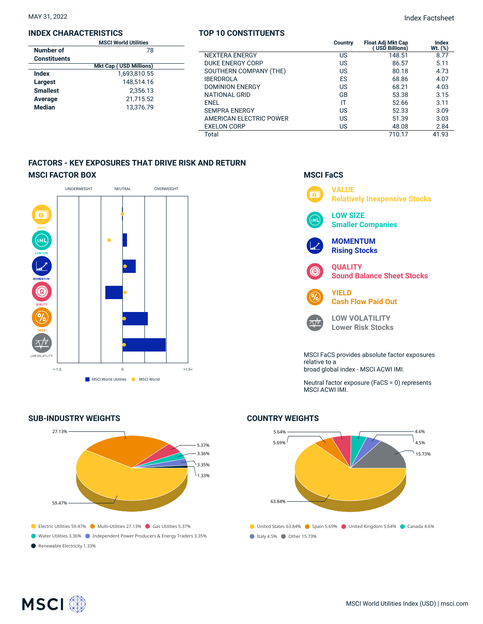#### **INDEX CHARACTERISTICS**

|                     | <b>MSCI World Utilities</b>   |  |  |  |
|---------------------|-------------------------------|--|--|--|
| Number of           | 78                            |  |  |  |
| <b>Constituents</b> |                               |  |  |  |
|                     | <b>Mkt Cap (USD Millions)</b> |  |  |  |
| Index               | 1,693,810.55                  |  |  |  |
| Largest             | 148.514.16                    |  |  |  |
| <b>Smallest</b>     | 2.356.13                      |  |  |  |
| Average             | 21,715.52                     |  |  |  |
| <b>Median</b>       | 13.376.79                     |  |  |  |
|                     |                               |  |  |  |

#### **TOP 10 CONSTITUENTS**

MAY 31, 2022 Index Factsheet

| <b>MSCI World Utilities</b>    |                         | Country | <b>Float Adj Mkt Cap</b><br>(USD Billions) | Index<br>Wt. (%) |
|--------------------------------|-------------------------|---------|--------------------------------------------|------------------|
| 78                             | <b>NEXTERA ENERGY</b>   | US      | 148.51                                     | 8.77             |
| <b>Ikt Cap ( USD Millions)</b> | DUKE ENERGY CORP        | US      | 86.57                                      | 5.11             |
| 1,693,810.55<br>148,514.16     | SOUTHERN COMPANY (THE)  | US      | 80.18                                      | 4.73             |
|                                | <b>IBERDROLA</b>        | ES      | 68.86                                      | 4.07             |
| 2,356.13                       | <b>DOMINION ENERGY</b>  | US      | 68.21                                      | 4.03             |
| 21,715.52                      | <b>NATIONAL GRID</b>    | GB      | 53.38                                      | 3.15             |
|                                | <b>ENEL</b>             |         | 52.66                                      | 3.11             |
| 13,376.79                      | <b>SEMPRA ENERGY</b>    | US      | 52.33                                      | 3.09             |
|                                | AMERICAN ELECTRIC POWER | US      | 51.39                                      | 3.03             |
|                                | <b>EXELON CORP</b>      | US      | 48.08                                      | 2.84             |
|                                | Total                   |         | 710.17                                     | 41.93            |

## **FACTORS - KEY EXPOSURES THAT DRIVE RISK AND RETURN MSCI FACTOR BOX**



## **SUB-INDUSTRY WEIGHTS**





Neutral factor exposure (FaCS = 0) represents MSCI ACWI IMI.



## **COUNTRY WEIGHTS**